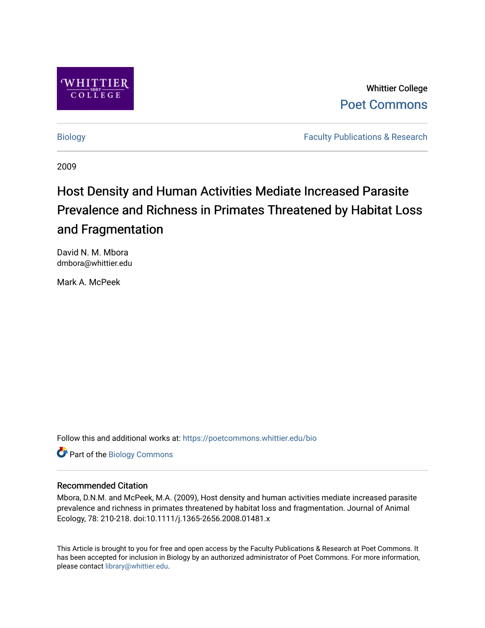

Whittier College [Poet Commons](https://poetcommons.whittier.edu/) 

[Biology](https://poetcommons.whittier.edu/bio) **Faculty Publications & Research** 

2009

# Host Density and Human Activities Mediate Increased Parasite Prevalence and Richness in Primates Threatened by Habitat Loss and Fragmentation

David N. M. Mbora dmbora@whittier.edu

Mark A. McPeek

Follow this and additional works at: [https://poetcommons.whittier.edu/bio](https://poetcommons.whittier.edu/bio?utm_source=poetcommons.whittier.edu%2Fbio%2F15&utm_medium=PDF&utm_campaign=PDFCoverPages)

Part of the [Biology Commons](http://network.bepress.com/hgg/discipline/41?utm_source=poetcommons.whittier.edu%2Fbio%2F15&utm_medium=PDF&utm_campaign=PDFCoverPages) 

### Recommended Citation

Mbora, D.N.M. and McPeek, M.A. (2009), Host density and human activities mediate increased parasite prevalence and richness in primates threatened by habitat loss and fragmentation. Journal of Animal Ecology, 78: 210-218. doi:10.1111/j.1365-2656.2008.01481.x

This Article is brought to you for free and open access by the Faculty Publications & Research at Poet Commons. It has been accepted for inclusion in Biology by an authorized administrator of Poet Commons. For more information, please contact [library@whittier.edu](mailto:library@whittier.edu).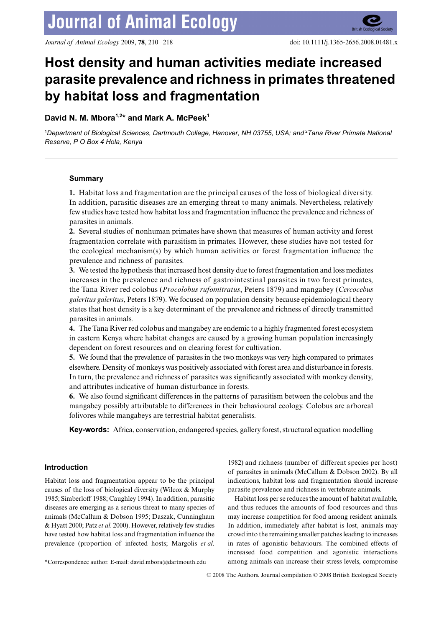# **Host density and human activities mediate increased parasite prevalence and richness in primates threatened by habitat loss and fragmentation**

## David N. M. Mbora<sup>1,2\*</sup> and Mark A. McPeek<sup>1</sup>

1 *Department of Biological Sciences, Dartmouth College, Hanover, NH 03755, USA; and* <sup>2</sup> *Tana River Primate National Reserve, P O Box 4 Hola, Kenya*

#### **Summary**

**1.** Habitat loss and fragmentation are the principal causes of the loss of biological diversity. In addition, parasitic diseases are an emerging threat to many animals. Nevertheless, relatively few studies have tested how habitat loss and fragmentation influence the prevalence and richness of parasites in animals.

**2.** Several studies of nonhuman primates have shown that measures of human activity and forest fragmentation correlate with parasitism in primates. However, these studies have not tested for the ecological mechanism(s) by which human activities or forest fragmentation influence the prevalence and richness of parasites.

**3.** We tested the hypothesis that increased host density due to forest fragmentation and loss mediates increases in the prevalence and richness of gastrointestinal parasites in two forest primates, the Tana River red colobus (*Procolobus rufomitratus*, Peters 1879) and mangabey (*Cercocebus galeritus galeritus*, Peters 1879). We focused on population density because epidemiological theory states that host density is a key determinant of the prevalence and richness of directly transmitted parasites in animals.

**4.** The Tana River red colobus and mangabey are endemic to a highly fragmented forest ecosystem in eastern Kenya where habitat changes are caused by a growing human population increasingly dependent on forest resources and on clearing forest for cultivation.

**5.** We found that the prevalence of parasites in the two monkeys was very high compared to primates elsewhere. Density of monkeys was positively associated with forest area and disturbance in forests. In turn, the prevalence and richness of parasites was significantly associated with monkey density, and attributes indicative of human disturbance in forests.

**6.** We also found significant differences in the patterns of parasitism between the colobus and the mangabey possibly attributable to differences in their behavioural ecology. Colobus are arboreal folivores while mangabeys are terrestrial habitat generalists.

**Key-words:** Africa, conservation, endangered species, gallery forest, structural equation modelling

### **Introduction**

Habitat loss and fragmentation appear to be the principal causes of the loss of biological diversity (Wilcox & Murphy 1985; Simberloff 1988; Caughley 1994). In addition, parasitic diseases are emerging as a serious threat to many species of animals (McCallum & Dobson 1995; Daszak, Cunningham & Hyatt 2000; Patz *et al*. 2000). However, relatively few studies have tested how habitat loss and fragmentation influence the prevalence (proportion of infected hosts; Margolis *et al*.

1982) and richness (number of different species per host) of parasites in animals (McCallum & Dobson 2002). By all indications, habitat loss and fragmentation should increase parasite prevalence and richness in vertebrate animals.

Habitat loss per se reduces the amount of habitat available, and thus reduces the amounts of food resources and thus may increase competition for food among resident animals. In addition, immediately after habitat is lost, animals may crowd into the remaining smaller patches leading to increases in rates of agonistic behaviours. The combined effects of increased food competition and agonistic interactions \*Correspondence author. E-mail: david.mbora@dartmouth.edu among animals can increase their stress levels, compromise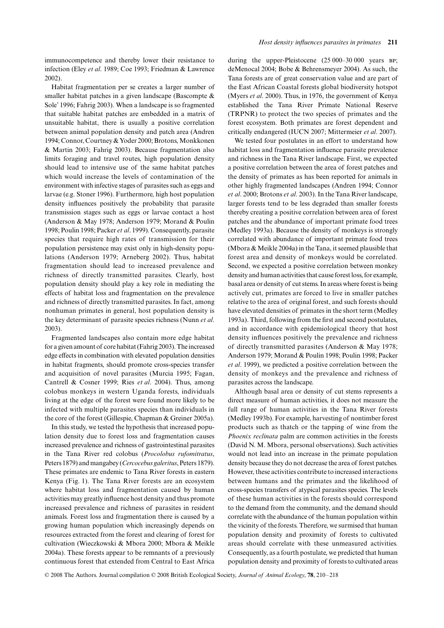immunocompetence and thereby lower their resistance to infection (Eley *et al*. 1989; Coe 1993; Friedman & Lawrence 2002).

Habitat fragmentation per se creates a larger number of smaller habitat patches in a given landscape (Bascompte & Sole' 1996; Fahrig 2003). When a landscape is so fragmented that suitable habitat patches are embedded in a matrix of unsuitable habitat, there is usually a positive correlation between animal population density and patch area (Andren 1994; Connor, Courtney & Yoder 2000; Brotons, Monkkonen & Martin 2003; Fahrig 2003). Because fragmentation also limits foraging and travel routes, high population density should lead to intensive use of the same habitat patches which would increase the levels of contamination of the environment with infective stages of parasites such as eggs and larvae (e.g. Stoner 1996). Furthermore, high host population density influences positively the probability that parasite transmission stages such as eggs or larvae contact a host (Anderson & May 1978; Anderson 1979; Morand & Poulin 1998; Poulin 1998; Packer *et al*. 1999). Consequently, parasite species that require high rates of transmission for their population persistence may exist only in high-density populations (Anderson 1979; Arneberg 2002). Thus, habitat fragmentation should lead to increased prevalence and richness of directly transmitted parasites. Clearly, host population density should play a key role in mediating the effects of habitat loss and fragmentation on the prevalence and richness of directly transmitted parasites. In fact, among nonhuman primates in general, host population density is the key determinant of parasite species richness (Nunn *et al*. 2003).

Fragmented landscapes also contain more edge habitat for a given amount of core habitat (Fahrig 2003). The increased edge effects in combination with elevated population densities in habitat fragments, should promote cross-species transfer and acquisition of novel parasites (Murcia 1995; Fagan, Cantrell & Cosner 1999; Ries *et al*. 2004). Thus, among colobus monkeys in western Uganda forests, individuals living at the edge of the forest were found more likely to be infected with multiple parasites species than individuals in the core of the forest (Gillespie, Chapman & Greiner 2005a).

In this study, we tested the hypothesis that increased population density due to forest loss and fragmentation causes increased prevalence and richness of gastrointestinal parasites in the Tana River red colobus (*Procolobus rufomitratus*, Peters 1879) and mangabey (*Cercocebus galeritus*, Peters 1879). These primates are endemic to Tana River forests in eastern Kenya (Fig. 1). The Tana River forests are an ecosystem where habitat loss and fragmentation caused by human activities may greatly influence host density and thus promote increased prevalence and richness of parasites in resident animals. Forest loss and fragmentation there is caused by a growing human population which increasingly depends on resources extracted from the forest and clearing of forest for cultivation (Wieczkowski & Mbora 2000; Mbora & Meikle 2004a). These forests appear to be remnants of a previously continuous forest that extended from Central to East Africa

during the upper-Pleistocene (25 000–30 000 years BP; deMenocal 2004; Bobe & Behrensmeyer 2004). As such, the Tana forests are of great conservation value and are part of the East African Coastal forests global biodiversity hotspot (Myers *et al*. 2000). Thus, in 1976, the government of Kenya established the Tana River Primate National Reserve (TRPNR) to protect the two species of primates and the forest ecosystem. Both primates are forest dependent and critically endangered (IUCN 2007; Mittermeier *et al*. 2007).

We tested four postulates in an effort to understand how habitat loss and fragmentation influence parasite prevalence and richness in the Tana River landscape. First, we expected a positive correlation between the area of forest patches and the density of primates as has been reported for animals in other highly fragmented landscapes (Andren 1994; Connor *et al*. 2000; Brotons *et al*. 2003). In the Tana River landscape, larger forests tend to be less degraded than smaller forests thereby creating a positive correlation between area of forest patches and the abundance of important primate food trees (Medley 1993a). Because the density of monkeys is strongly correlated with abundance of important primate food trees (Mbora & Meikle 2004a) in the Tana, it seemed plausible that forest area and density of monkeys would be correlated. Second, we expected a positive correlation between monkey density and human activities that cause forest loss, for example, basal area or density of cut stems. In areas where forest is being actively cut, primates are forced to live in smaller patches relative to the area of original forest, and such forests should have elevated densities of primates in the short term (Medley 1993a). Third, following from the first and second postulates, and in accordance with epidemiological theory that host density influences positively the prevalence and richness of directly transmitted parasites (Anderson & May 1978; Anderson 1979; Morand & Poulin 1998; Poulin 1998; Packer *et al*. 1999), we predicted a positive correlation between the density of monkeys and the prevalence and richness of parasites across the landscape.

Although basal area or density of cut stems represents a direct measure of human activities, it does not measure the full range of human activities in the Tana River forests (Medley 1993b). For example, harvesting of nontimber forest products such as thatch or the tapping of wine from the *Phoenix reclinata* palm are common activities in the forests (David N. M. Mbora, personal observations). Such activities would not lead into an increase in the primate population density because they do not decrease the area of forest patches. However, these activities contribute to increased interactions between humans and the primates and the likelihood of cross-species transfers of atypical parasites species. The levels of these human activities in the forests should correspond to the demand from the community, and the demand should correlate with the abundance of the human population within the vicinity of the forests. Therefore, we surmised that human population density and proximity of forests to cultivated areas should correlate with these unmeasured activities. Consequently, as a fourth postulate, we predicted that human population density and proximity of forests to cultivated areas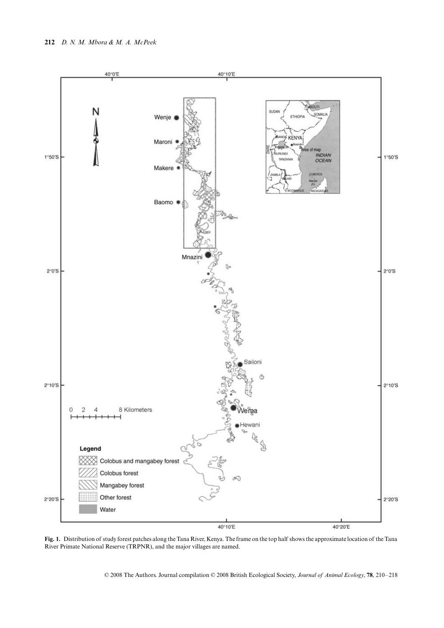

**Fig. 1.** Distribution of study forest patches along the Tana River, Kenya. The frame on the top half shows the approximate location of the Tana River Primate National Reserve (TRPNR), and the major villages are named.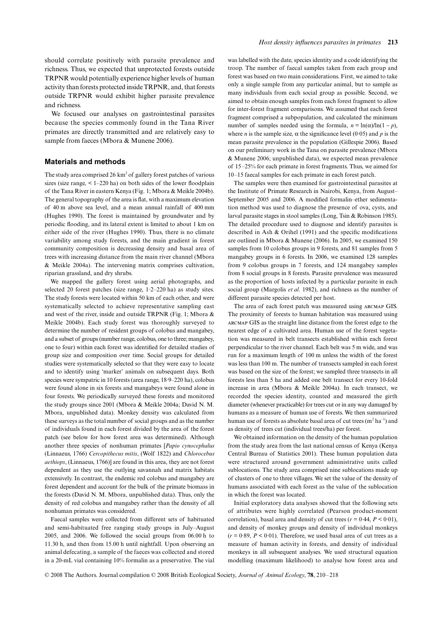should correlate positively with parasite prevalence and richness. Thus, we expected that unprotected forests outside TRPNR would potentially experience higher levels of human activity than forests protected inside TRPNR, and, that forests outside TRPNR would exhibit higher parasite prevalence and richness.

We focused our analyses on gastrointestinal parasites because the species commonly found in the Tana River primates are directly transmitted and are relatively easy to sample from faeces (Mbora & Munene 2006).

#### **Materials and methods**

The study area comprised 26  $\rm km^2$  of gallery forest patches of various sizes (size range,  $\lt 1-220$  ha) on both sides of the lower floodplain of the Tana River in eastern Kenya (Fig. 1; Mbora & Meikle 2004b). The general topography of the area is flat, with a maximum elevation of 40 m above sea level, and a mean annual rainfall of 400 mm (Hughes 1990). The forest is maintained by groundwater and by periodic flooding, and its lateral extent is limited to about 1 km on either side of the river (Hughes 1990). Thus, there is no climate variability among study forests, and the main gradient in forest community composition is decreasing density and basal area of trees with increasing distance from the main river channel (Mbora & Meikle 2004a). The intervening matrix comprises cultivation, riparian grassland, and dry shrubs.

We mapped the gallery forest using aerial photographs, and selected 20 forest patches (size range, 1·2–220 ha) as study sites. The study forests were located within 50 km of each other, and were systematically selected to achieve representative sampling east and west of the river, inside and outside TRPNR (Fig. 1; Mbora & Meikle 2004b). Each study forest was thoroughly surveyed to determine the number of resident groups of colobus and mangabey, and a subset of groups (number range, colobus, one to three; mangabey, one to four) within each forest was identified for detailed studies of group size and composition over time. Social groups for detailed studies were systematically selected so that they were easy to locate and to identify using 'marker' animals on subsequent days. Both species were sympatric in 10 forests (area range, 18·9–220 ha), colobus were found alone in six forests and mangabeys were found alone in four forests. We periodically surveyed these forests and monitored the study groups since 2001 (Mbora & Meikle 2004a; David N. M. Mbora, unpublished data). Monkey density was calculated from these surveys as the total number of social groups and as the number of individuals found in each forest divided by the area of the forest patch (see below for how forest area was determined). Although another three species of nonhuman primates [*Papio cynocephalus* (Linnaeus, 1766) *Cercopithecus mitis*, (Wolf 1822) and *Chlorocebus aethiops*, (Linnaeus, 1766)] are found in this area, they are not forest dependent as they use the outlying savannah and matrix habitats extensively. In contrast, the endemic red colobus and mangabey are forest dependent and account for the bulk of the primate biomass in the forests (David N. M. Mbora, unpublished data). Thus, only the density of red colobus and mangabey rather than the density of all nonhuman primates was considered.

Faecal samples were collected from different sets of habituated and semi-habituated free ranging study groups in July–August 2005, and 2006. We followed the social groups from 06.00 h to 11.30 h, and then from 15.00 h until nightfall. Upon observing an animal defecating, a sample of the faeces was collected and stored in a 20-mL vial containing 10% formalin as a preservative. The vial was labelled with the date, species identity and a code identifying the troop. The number of faecal samples taken from each group and forest was based on two main considerations. First, we aimed to take only a single sample from any particular animal, but to sample as many individuals from each social group as possible. Second, we aimed to obtain enough samples from each forest fragment to allow for inter-forest fragment comparisons. We assumed that each forest fragment comprised a subpopulation, and calculated the minimum number of samples needed using the formula,  $n = \ln(\alpha)/\ln(1 - p)$ , where *n* is the sample size,  $\alpha$  the significance level (0.05) and *p* is the mean parasite prevalence in the population (Gillespie 2006). Based on our preliminary work in the Tana on parasite prevalence (Mbora & Munene 2006; unpublished data), we expected mean prevalence of 15–25% for each primate in forest fragments. Thus, we aimed for 10–15 faecal samples for each primate in each forest patch.

The samples were then examined for gastrointestinal parasites at the Institute of Primate Research in Nairobi, Kenya, from August– September 2005 and 2006. A modified formalin–ether sedimentation method was used to diagnose the presence of ova, cysts, and larval parasite stages in stool samples (Long, Tsin & Robinson 1985). The detailed procedure used to diagnose and identify parasites is described in Ash & Orihel (1991) and the specific modifications are outlined in Mbora & Munene (2006). In 2005, we examined 150 samples from 10 colobus groups in 9 forests, and 81 samples from 5 mangabey groups in 6 forests. In 2006, we examined 128 samples from 9 colobus groups in 7 forests, and 124 mangabey samples from 8 social groups in 8 forests. Parasite prevalence was measured as the proportion of hosts infected by a particular parasite in each social group (Margolis *et al*. 1982), and richness as the number of different parasite species detected per host.

The area of each forest patch was measured using arcmap GIS. The proximity of forests to human habitation was measured using arcmap GIS as the straight line distance from the forest edge to the nearest edge of a cultivated area. Human use of the forest vegetation was measured in belt transects established within each forest perpendicular to the river channel. Each belt was 5 m wide, and was run for a maximum length of 100 m unless the width of the forest was less than 100 m. The number of transects sampled in each forest was based on the size of the forest; we sampled three transects in all forests less than 5 ha and added one belt transect for every 10-fold increase in area (Mbora & Meikle 2004a). In each transect, we recorded the species identity, counted and measured the girth diameter (whenever practicable) for trees cut or in any way damaged by humans as a measure of human use of forests. We then summarized human use of forests as absolute basal area of cut trees (m $^2$  ha $^{-1}$ ) and as density of trees cut (individual trees/ha) per forest.

We obtained information on the density of the human population from the study area from the last national census of Kenya (Kenya Central Bureau of Statistics 2001). These human population data were structured around government administrative units called sublocations. The study area comprised nine sublocations made up of clusters of one to three villages. We set the value of the density of humans associated with each forest as the value of the sublocation in which the forest was located.

Initial exploratory data analyses showed that the following sets of attributes were highly correlated (Pearson product-moment correlation), basal area and density of cut trees ( $r = 0.44$ ,  $P < 0.01$ ), and density of monkey groups and density of individual monkeys  $(r = 0.89, P \le 0.01)$ . Therefore, we used basal area of cut trees as a measure of human activity in forests, and density of individual monkeys in all subsequent analyses. We used structural equation modelling (maximum likelihood) to analyse how forest area and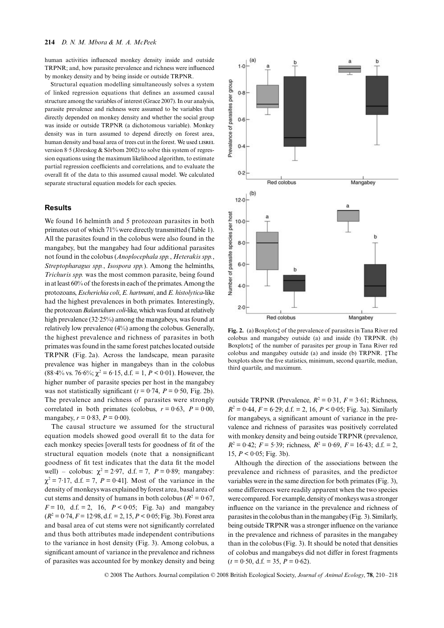human activities influenced monkey density inside and outside TRPNR; and, how parasite prevalence and richness were influenced by monkey density and by being inside or outside TRPNR.

Structural equation modelling simultaneously solves a system of linked regression equations that defines an assumed causal structure among the variables of interest (Grace 2007). In our analysis, parasite prevalence and richness were assumed to be variables that directly depended on monkey density and whether the social group was inside or outside TRPNR (a dichotomous variable). Monkey density was in turn assumed to depend directly on forest area, human density and basal area of trees cut in the forest. We used LISREL version 8·5 (Jöreskog & Sörbom 2002) to solve this system of regression equations using the maximum likelihood algorithm, to estimate partial regression coefficients and correlations, and to evaluate the overall fit of the data to this assumed causal model. We calculated separate structural equation models for each species.

#### **Results**

We found 16 helminth and 5 protozoan parasites in both primates out of which 71% were directly transmitted (Table 1). All the parasites found in the colobus were also found in the mangabey, but the mangabey had four additional parasites not found in the colobus (*Anoplocephala spp.*, *Heterakis spp.*, *Streptopharagus spp.*, *Isospora spp.*). Among the helminths, *Trichuris spp.* was the most common parasite, being found in at least 60% of the forests in each of the primates. Among the protozoans, *Escherichia coli*, *E. hartmani*, and *E. histolytica*-like had the highest prevalences in both primates. Interestingly, the protozoan *Balantidium coli-*like, which was found at relatively high prevalence (32·25%) among the mangabeys, was found at relatively low prevalence (4%) among the colobus. Generally, the highest prevalence and richness of parasites in both primates was found in the same forest patches located outside TRPNR (Fig. 2a). Across the landscape, mean parasite prevalence was higher in mangabeys than in the colobus  $(88.4\% \text{ vs. } 76.6\%; \chi^2 = 6.15, \text{ d.f. } = 1, P < 0.01)$ . However, the higher number of parasite species per host in the mangabey was not statistically significant ( $t = 0.74$ ,  $P = 0.50$ , Fig. 2b). The prevalence and richness of parasites were strongly correlated in both primates (colobus,  $r = 0.63$ ,  $P = 0.00$ , mangabey,  $r = 0.83$ ,  $P = 0.00$ ).

The causal structure we assumed for the structural equation models showed good overall fit to the data for each monkey species [overall tests for goodness of fit of the structural equation models (note that a nonsignificant goodness of fit test indicates that the data fit the model well) – colobus:  $\chi^2 = 2.97$ , d.f. = 7,  $P = 0.89$ ; mangabey:  $\chi^2 = 7.17$ , d.f. = 7, *P* = 0.41]. Most of the variance in the density of monkeys was explained by forest area, basal area of cut stems and density of humans in both colobus ( $R^2 = 0.67$ ,  $F = 10$ , d.f. = 2, 16,  $P < 0.05$ ; Fig. 3a) and mangabey  $(R^2 = 0.74, F = 12.98, d.f. = 2, 15, P < 0.05; Fig. 3b)$ . Forest area and basal area of cut stems were not significantly correlated and thus both attributes made independent contributions to the variance in host density (Fig. 3). Among colobus, a significant amount of variance in the prevalence and richness of parasites was accounted for by monkey density and being



**Fig. 2.** (a) Boxplots‡ of the prevalence of parasites in Tana River red colobus and mangabey outside (a) and inside (b) TRPNR. (b) Boxplots‡ of the number of parasites per group in Tana River red colobus and mangabey outside (a) and inside (b) TRPNR. ‡The boxplots show the five statistics, minimum, second quartile, median, third quartile, and maximum.

outside TRPNR (Prevalence,  $R^2 = 0.31$ ,  $F = 3.61$ ; Richness,  $R^2 = 0.44$ ,  $F = 6.29$ ; d.f. = 2, 16,  $P < 0.05$ ; Fig. 3a). Similarly for mangabeys, a significant amount of variance in the prevalence and richness of parasites was positively correlated with monkey density and being outside TRPNR (prevalence,  $R^2 = 0.42$ ;  $F = 5.39$ ; richness,  $R^2 = 0.69$ ,  $F = 16.43$ ; d.f. = 2, 15,  $P < 0.05$ ; Fig. 3b).

Although the direction of the associations between the prevalence and richness of parasites, and the predictor variables were in the same direction for both primates (Fig. 3), some differences were readily apparent when the two species were compared. For example, density of monkeys was a stronger influence on the variance in the prevalence and richness of parasites in the colobus than in the mangabey (Fig. 3). Similarly, being outside TRPNR was a stronger influence on the variance in the prevalence and richness of parasites in the mangabey than in the colobus (Fig. 3). It should be noted that densities of colobus and mangabeys did not differ in forest fragments  $(t = 0.50, d.f. = 35, P = 0.62)$ .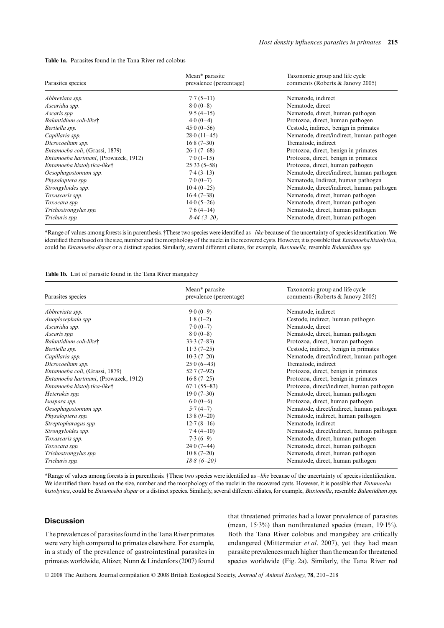| <b>Table 1a.</b> Parasites found in the Tana River red colobus |  |
|----------------------------------------------------------------|--|
|----------------------------------------------------------------|--|

| Parasites species                      | Mean* parasite<br>prevalence (percentage) | Taxonomic group and life cycle<br>comments (Roberts & Janovy 2005) |
|----------------------------------------|-------------------------------------------|--------------------------------------------------------------------|
| Abbreviata spp.                        | $7.7(5-11)$                               | Nematode, indirect                                                 |
| Ascaridia spp.                         | $8.0(0-8)$                                | Nematode, direct                                                   |
| Ascaris spp.                           | $9.5(4-15)$                               | Nematode, direct, human pathogen                                   |
| Balantidium coli-like†                 | $4.0(0-4)$                                | Protozoa, direct, human pathogen                                   |
| Bertiella spp.                         | $45.0(0-56)$                              | Cestode, indirect, benign in primates                              |
| Capillaria spp.                        | $28.0(11-45)$                             | Nematode, direct/indirect, human pathogen                          |
| Dicrocoelium spp.                      | $16.8(7-30)$                              | Trematode, indirect                                                |
| <i>Entamoeba coli</i> , (Grassi, 1879) | $26 \cdot 1 (7 - 68)$                     | Protozoa, direct, benign in primates                               |
| Entamoeba hartmani, (Prowazek, 1912)   | $7.0(1-15)$                               | Protozoa, direct, benign in primates                               |
| Entamoeba histolytica-like†            | $25.33(5-58)$                             | Protozoa, direct, human pathogen                                   |
| Oesophagostomum spp.                   | $7.4(3-13)$                               | Nematode, direct/indirect, human pathogen                          |
| Physaloptera spp.                      | $7.0(0-7)$                                | Nematode, Indirect, human pathogen                                 |
| Strongyloides spp.                     | $10.4(0-25)$                              | Nematode, direct/indirect, human pathogen                          |
| Toxascaris spp.                        | $16.4(7-38)$                              | Nematode, direct, human pathogen                                   |
| Toxocara spp.                          | $14.0(5-26)$                              | Nematode, direct, human pathogen                                   |
| Trichostrongylus spp.                  | $7.6(4-14)$                               | Nematode, direct, human pathogen                                   |
| Trichuris spp.                         | $8.44(3-20)$                              | Nematode, direct, human pathogen                                   |

\*Range of values among forests is in parenthesis. †These two species were identified as –*like* because of the uncertainty of species identification. We identified them based on the size, number and the morphology of the nuclei in the recovered cysts. However, it is possible that *Entamoeba histolytica*, could be *Entamoeba dispar* or a distinct species. Similarly, several different ciliates, for example, *Buxtonella,* resemble *Balantidium spp.*

**Table 1b.** List of parasite found in the Tana River mangabey

| Parasites species                    | Mean* parasite<br>prevalence (percentage) | Taxonomic group and life cycle<br>comments (Roberts & Janovy 2005) |
|--------------------------------------|-------------------------------------------|--------------------------------------------------------------------|
| Abbreviata spp.                      | $9.0(0-9)$                                | Nematode, indirect                                                 |
| Anoplocephala spp                    | $1.8(1-2)$                                | Cestode, indirect, human pathogen                                  |
| Ascaridia spp.                       | $7.0(0-7)$                                | Nematode, direct                                                   |
| Ascaris spp.                         | $8.0(0-8)$                                | Nematode, direct, human pathogen                                   |
| Balantidium coli-like†               | $33.3(7-83)$                              | Protozoa, direct, human pathogen                                   |
| Bertiella spp.                       | $11.3(7-25)$                              | Cestode, indirect, benign in primates                              |
| Capillaria spp.                      | $10.3(7-20)$                              | Nematode, direct/indirect, human pathogen                          |
| Dicrocoelium spp.                    | $25.0(6-43)$                              | Trematode, indirect                                                |
| Entamoeba coli, (Grassi, 1879)       | $52.7(7-92)$                              | Protozoa, direct, benign in primates                               |
| Entamoeba hartmani, (Prowazek, 1912) | $16.8(7-25)$                              | Protozoa, direct, benign in primates                               |
| Entamoeba histolytica-like†          | $67.1(55-83)$                             | Protozoa, direct/indirect, human pathogen                          |
| Heterakis spp.                       | $19.0(7-30)$                              | Nematode, direct, human pathogen                                   |
| Isospora spp.                        | $6.0(0-6)$                                | Protozoa, direct, human pathogen                                   |
| Oesophagostomum spp.                 | $5.7(4-7)$                                | Nematode, direct/indirect, human pathogen                          |
| Physaloptera spp.                    | $13.8(9-20)$                              | Nematode, indirect, human pathogen                                 |
| Streptopharagus spp.                 | $12.7(8-16)$                              | Nematode, indirect                                                 |
| Strongyloides spp.                   | $7.4(4-10)$                               | Nematode, direct/indirect, human pathogen                          |
| Toxascaris spp.                      | $7.3(6-9)$                                | Nematode, direct, human pathogen                                   |
| Toxocara spp.                        | $24.0(7-44)$                              | Nematode, direct, human pathogen                                   |
| Trichostrongylus spp.                | $10.8(7-20)$                              | Nematode, direct, human pathogen                                   |
| Trichuris spp.                       | $18.8(6 - 20)$                            | Nematode, direct, human pathogen                                   |

\*Range of values among forests is in parenthesis. †These two species were identified as *–like* because of the uncertainty of species identification. We identified them based on the size, number and the morphology of the nuclei in the recovered cysts. However, it is possible that *Entamoeba histolytica*, could be *Entamoeba dispar* or a distinct species. Similarly, several different ciliates, for example, *Buxtonella*, resemble *Balantidium spp.*

#### **Discussion**

The prevalences of parasites found in the Tana River primates were very high compared to primates elsewhere. For example, in a study of the prevalence of gastrointestinal parasites in primates worldwide, Altizer, Nunn & Lindenfors (2007) found that threatened primates had a lower prevalence of parasites (mean, 15·3%) than nonthreatened species (mean, 19·1%). Both the Tana River colobus and mangabey are critically endangered (Mittermeier *et al*. 2007), yet they had mean parasite prevalences much higher than the mean for threatened species worldwide (Fig. 2a). Similarly, the Tana River red

© 2008 The Authors. Journal compilation © 2008 British Ecological Society, *Journal of Animal Ecology*, **78**, 210–218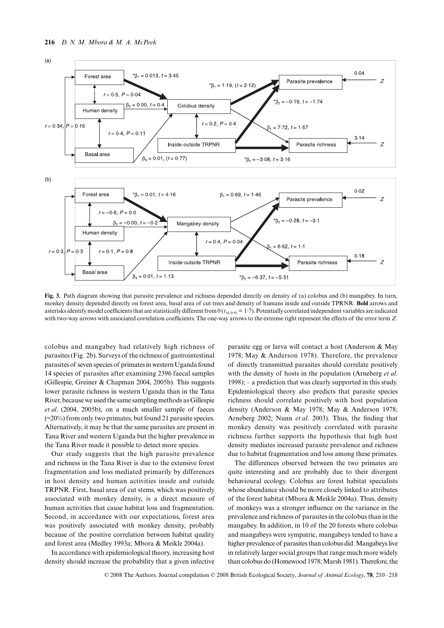

Fig. 3. Path diagram showing that parasite prevalence and richness depended directly on density of (a) colobus and (b) mangabey. In turn, monkey density depended directly on forest area, basal area of cut trees and density of humans inside and outside TPRNR. **Bold** arrows and asterisks identify model coefficients that are statistically different from  $0$  ( $t_{16,0.95}$  = 1·7). Potentially correlated independent variables are indicated with two-way arrows with associated correlation coefficients. The one-way arrows to the extreme right represent the effects of the error term *Z*.

colobus and mangabey had relatively high richness of parasites (Fig. 2b). Surveys of the richness of gastrointestinal parasites of seven species of primates in western Uganda found 14 species of parasites after examining 2396 faecal samples (Gillespie, Greiner & Chapman 2004, 2005b). This suggests lower parasite richness in western Uganda than in the Tana River, because we used the same sampling methods as Gillespie *et al*. (2004, 2005b), on a much smaller sample of faeces  $(\sim 20\%)$  from only two primates, but found 21 parasite species. Alternatively, it may be that the same parasites are present in Tana River and western Uganda but the higher prevalence in the Tana River made it possible to detect more species.

Our study suggests that the high parasite prevalence and richness in the Tana River is due to the extensive forest fragmentation and loss mediated primarily by differences in host density and human activities inside and outside TRPNR. First, basal area of cut stems, which was positively associated with monkey density, is a direct measure of human activities that cause habitat loss and fragmentation. Second, in accordance with our expectations, forest area was positively associated with monkey density, probably because of the positive correlation between habitat quality and forest area (Medley 1993a; Mbora & Meikle 2004a).

In accordance with epidemiological theory, increasing host density should increase the probability that a given infective

parasite egg or larva will contact a host (Anderson & May 1978; May & Anderson 1978). Therefore, the prevalence of directly transmitted parasites should correlate positively with the density of hosts in the population (Arneberg *et al*. 1998); – a prediction that was clearly supported in this study. Epidemiological theory also predicts that parasite species richness should correlate positively with host population density (Anderson & May 1978; May & Anderson 1978; Arneberg 2002; Nunn *et al*. 2003). Thus, the finding that monkey density was positively correlated with parasite richness further supports the hypothesis that high host density mediates increased parasite prevalence and richness due to habitat fragmentation and loss among these primates.

The differences observed between the two primates are quite interesting and are probably due to their divergent behavioural ecology. Colobus are forest habitat specialists whose abundance should be more closely linked to attributes of the forest habitat (Mbora & Meikle 2004a). Thus, density of monkeys was a stronger influence on the variance in the prevalence and richness of parasites in the colobus than in the mangabey. In addition, in 10 of the 20 forests where colobus and mangabeys were sympatric, mangabeys tended to have a higher prevalence of parasites than colobus did. Mangabeys live in relatively larger social groups that range much more widely than colobus do (Homewood 1978; Marsh 1981). Therefore, the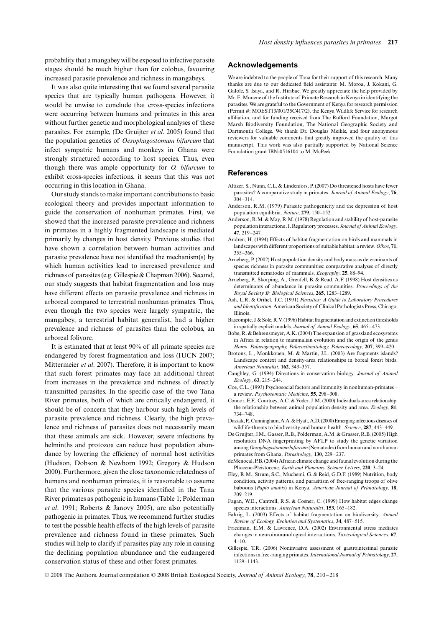probability that a mangabey will be exposed to infective parasite stages should be much higher than for colobus, favouring increased parasite prevalence and richness in mangabeys.

It was also quite interesting that we found several parasite species that are typically human pathogens. However, it would be unwise to conclude that cross-species infections were occurring between humans and primates in this area without further genetic and morphological analyses of these parasites. For example, (De Gruijter *et al*. 2005) found that the population genetics of *Oesophagostomum bifurcum* that infect sympatric humans and monkeys in Ghana were strongly structured according to host species. Thus, even though there was ample opportunity for *O. bifurcum* to exhibit cross-species infections, it seems that this was not occurring in this location in Ghana.

Our study stands to make important contributions to basic ecological theory and provides important information to guide the conservation of nonhuman primates. First, we showed that the increased parasite prevalence and richness in primates in a highly fragmented landscape is mediated primarily by changes in host density. Previous studies that have shown a correlation between human activities and parasite prevalence have not identified the mechanism(s) by which human activities lead to increased prevalence and richness of parasites (e.g. Gillespie & Chapman 2006). Second, our study suggests that habitat fragmentation and loss may have different effects on parasite prevalence and richness in arboreal compared to terrestrial nonhuman primates. Thus, even though the two species were largely sympatric, the mangabey, a terrestrial habitat generalist, had a higher prevalence and richness of parasites than the colobus, an arboreal folivore.

It is estimated that at least 90% of all primate species are endangered by forest fragmentation and loss (IUCN 2007; Mittermeier *et al*. 2007). Therefore, it is important to know that such forest primates may face an additional threat from increases in the prevalence and richness of directly transmitted parasites. In the specific case of the two Tana River primates, both of which are critically endangered, it should be of concern that they harbour such high levels of parasite prevalence and richness. Clearly, the high prevalence and richness of parasites does not necessarily mean that these animals are sick. However, severe infections by helminths and protozoa can reduce host population abundance by lowering the efficiency of normal host activities (Hudson, Dobson & Newborn 1992; Gregory & Hudson 2000). Furthermore, given the close taxonomic relatedness of humans and nonhuman primates, it is reasonable to assume that the various parasite species identified in the Tana River primates as pathogenic in humans (Table 1; Polderman *et al*. 1991; Roberts & Janovy 2005), are also potentially pathogenic in primates. Thus, we recommend further studies to test the possible health effects of the high levels of parasite prevalence and richness found in these primates. Such studies will help to clarify if parasites play any role in causing the declining population abundance and the endangered conservation status of these and other forest primates.

#### **Acknowledgements**

We are indebted to the people of Tana for their support of this research. Many thanks are due to our dedicated field assistants: M. Moroa, J. Kokani, G. Galole, S. Isaya, and R. Hiribae. We greatly appreciate the help provided by Mr. E. Munene of the Institute of Primate Research in Kenya in identifying the parasites. We are grateful to the Government of Kenya for research permission (Permit #: MOEST13/001/35C417/2), the Kenya Wildlife Service for research affiliation, and for funding received from The Rufford Foundation, Margot Marsh Biodiversity Foundation, The National Geographic Society and Dartmouth College. We thank Dr. Douglas Meikle, and four anonymous reviewers for valuable comments that greatly improved the quality of this manuscript. This work was also partially supported by National Science Foundation grant IBN-0516104 to M. McPeek.

#### **References**

- Altizer, S., Nunn, C.L. & Lindenfors, P. (2007) Do threatened hosts have fewer parasites? A comparative study in primates. *Journal of Animal Ecology*, **76**, 304–314.
- Anderson, R.M. (1979) Parasite pathogenicity and the depression of host population equilibria. *Nature*, **279**, 150–152.
- Anderson, R.M. & May, R.M. (1978) Regulation and stability of host-parasite population interactions .1. Regulatory processes. *Journal of Animal Ecology*, **47**, 219–247.
- Andren, H. (1994) Effects of habitat fragmentation on birds and mammals in landscapes with different proportions of suitable habitat: a review. *Oikos*, **71**, 355–366.
- Arneberg, P. (2002) Host population density and body mass as determinants of species richness in parasite communities: comparative analyses of directly transmitted nematodes of mammals. *Ecography*, **25**, 88–94.
- Arneberg, P., Skorping, A., Grenfell, B. & Read, A.F. (1998) Host densities as determinants of abundance in parasite communities. *Proceedings of the Royal Society B: Biological Sciences*, **265**, 1283–1289.
- Ash, L.R. & Orihel, T.C. (1991) *Parasites: A Guide to Laboratory Procedures and Identification*. American Society of Clinical Pathologists Press, Chicago, Illinois.
- Bascompte, J. & Sole, R.V. (1996) Habitat fragmentation and extinction thresholds in spatially explicit models. *Journal of Animal Ecology*, **65**, 465–473.
- Bobe, R. & Behrensmeyer, A.K. (2004) The expansion of grassland ecosystems in Africa in relation to mammalian evolution and the origin of the genus *Homo*. *Palaeogeography, Palaeoclimatology, Palaeoecology*, **207**, 399–420.
- Brotons, L., Monkkonen, M. & Martin, J.L. (2003) Are fragments islands? Landscape context and density-area relationships in boreal forest birds. *American Naturalist*, **162**, 343–357.
- Caughley, G. (1994) Directions in conservation biology. *Journal of Animal Ecology*, **63**, 215–244.
- Coe, C.L. (1993) Psychosocial factors and immunity in nonhuman-primates a review. *Psychosomatic Medicine*, **55**, 298–308.
- Connor, E.F., Courtney, A.C. & Yoder, J. M. (2000) Individuals–area relationship: the relationship between animal population density and area. *Ecology*, **81**, 734–748.
- Daszak, P., Cunningham, A.A. & Hyatt, A.D. (2000) Emerging infectious diseases of wildlife-threats to biodiversity and human health. *Science*, **287**, 443–449.
- De Gruijter, J.M., Gasser, R.B., Polderman, A.M. & Grasser, R.B. (2005) High resolution DNA fingerprinting by AFLP to study the genetic variation among *Oesophagostomum bifurcum* (Nematodes) from human and non-human primates from Ghana. *Parasitology*, **130**, 229–237.
- deMenocal, P.B. (2004) African climate change and faunal evolution during the Pliocene-Pleistocene. *Earth and Planetary Science Letters*, **220**, 3–24.
- Eley, R.M., Strum, S.C., Muchemi, G. & Reid, G.D.F. (1989) Nutrition, body condition, activity patterns, and parasitism of free-ranging troops of olive baboons (*Papio anubis*) in Kenya. *American Journal of Primatology*, **18**, 209–219.
- Fagan, W.E., Cantrell, R.S. & Cosner, C. (1999) How habitat edges change species interactions. *American Naturalist*, **153**, 165–182.
- Fahrig, L. (2003) Effects of habitat fragmentation on biodiversity. *Annual Review of Ecology, Evolution and Systematics*, **34**, 487–515.
- Friedman, E.M. & Lawrence, D.A. (2002) Environmental stress mediates changes in neuroimmunological interactions. *Toxicological Sciences*, **67**, 4–10.
- Gillespie, T.R. (2006) Noninvasive assessment of gastrointestinal parasite infections in free-ranging primates. *International Journal of Primatology*, **27**, 1129–1143.

© 2008 The Authors. Journal compilation © 2008 British Ecological Society, *Journal of Animal Ecology*, **78**, 210–218